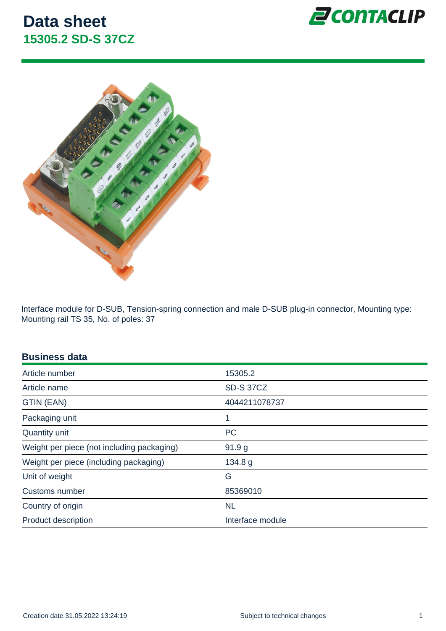Interface module for D-SUB, Tension-spring connection and male D-SUB plug-in connector, Mounting type: Mounting rail TS 35, No. of poles: 37

| <b>Business data</b> |  |
|----------------------|--|
|                      |  |
|                      |  |

| Article number                             | 15305.2           |
|--------------------------------------------|-------------------|
| Article name                               | <b>SD-S 37CZ</b>  |
| GTIN (EAN)                                 | 4044211078737     |
| Packaging unit                             | 1                 |
| Quantity unit                              | <b>PC</b>         |
| Weight per piece (not including packaging) | 91.9 <sub>g</sub> |
| Weight per piece (including packaging)     | 134.8 g           |
| Unit of weight                             | G                 |
| Customs number                             | 85369010          |
| Country of origin                          | <b>NL</b>         |
| <b>Product description</b>                 | Interface module  |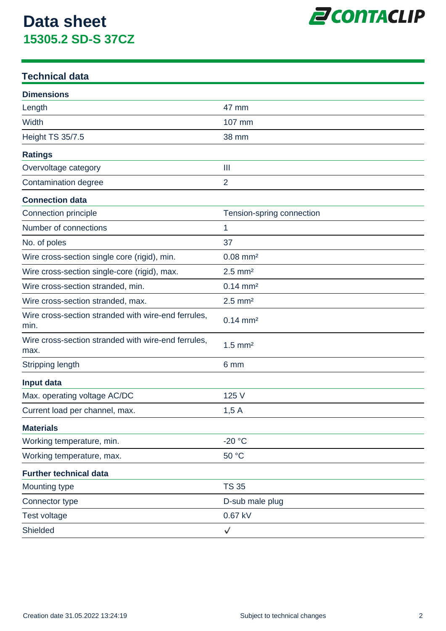

### **Technical data**

| <b>Dimensions</b>                                           |                           |
|-------------------------------------------------------------|---------------------------|
| Length                                                      | 47 mm                     |
| Width                                                       | 107 mm                    |
| <b>Height TS 35/7.5</b>                                     | 38 mm                     |
| <b>Ratings</b>                                              |                           |
| Overvoltage category                                        | $\mathbf{III}$            |
| Contamination degree                                        | $\overline{2}$            |
| <b>Connection data</b>                                      |                           |
| Connection principle                                        | Tension-spring connection |
| Number of connections                                       | 1                         |
| No. of poles                                                | 37                        |
| Wire cross-section single core (rigid), min.                | $0.08$ mm <sup>2</sup>    |
| Wire cross-section single-core (rigid), max.                | $2.5$ mm <sup>2</sup>     |
| Wire cross-section stranded, min.                           | $0.14 \, \text{mm}^2$     |
| Wire cross-section stranded, max.                           | $2.5$ mm <sup>2</sup>     |
| Wire cross-section stranded with wire-end ferrules,<br>min. | $0.14 \, \text{mm}^2$     |
| Wire cross-section stranded with wire-end ferrules,<br>max. | $1.5$ mm <sup>2</sup>     |
| Stripping length                                            | 6 mm                      |
| Input data                                                  |                           |
| Max. operating voltage AC/DC                                | 125 V                     |
| Current load per channel, max.                              | 1,5A                      |
| <b>Materials</b>                                            |                           |
| Working temperature, min.                                   | $-20 °C$                  |
| Working temperature, max.                                   | 50 °C                     |
| <b>Further technical data</b>                               |                           |
| Mounting type                                               | <b>TS 35</b>              |
| Connector type                                              | D-sub male plug           |
| Test voltage                                                | 0.67 kV                   |
| Shielded                                                    | ✓                         |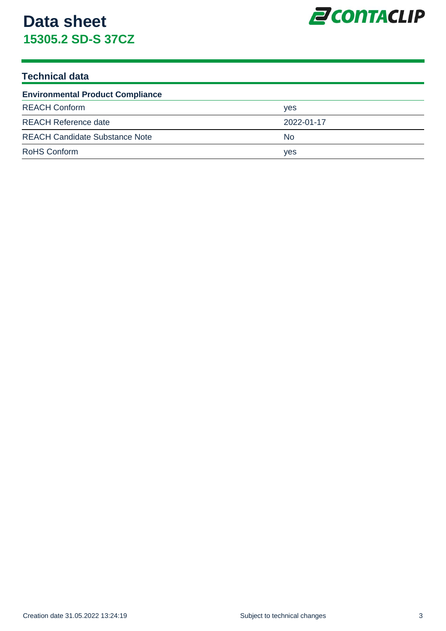

### **Technical data**

| <b>Environmental Product Compliance</b> |            |  |
|-----------------------------------------|------------|--|
| <b>REACH Conform</b>                    | <b>ves</b> |  |
| <b>REACH Reference date</b>             | 2022-01-17 |  |
| <b>REACH Candidate Substance Note</b>   | No.        |  |
| <b>RoHS Conform</b>                     | yes        |  |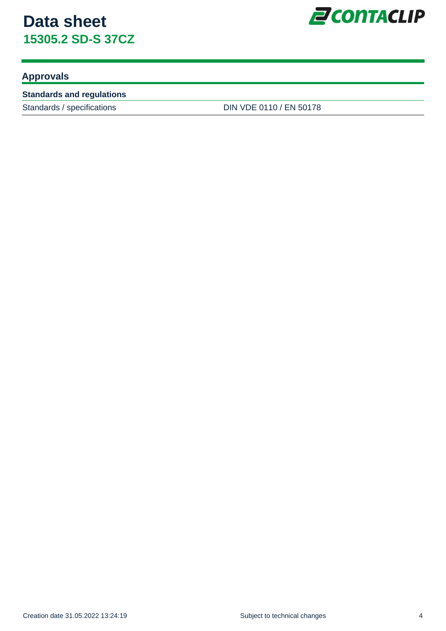

### **Approvals**

#### **Standards and regulations**

Standards / specifications DIN VDE 0110 / EN 50178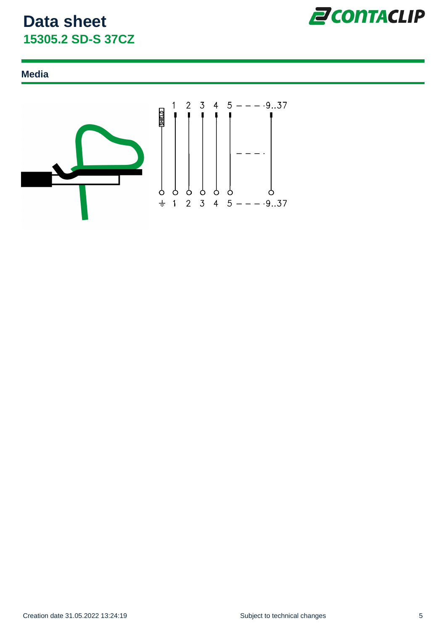

### **Media**